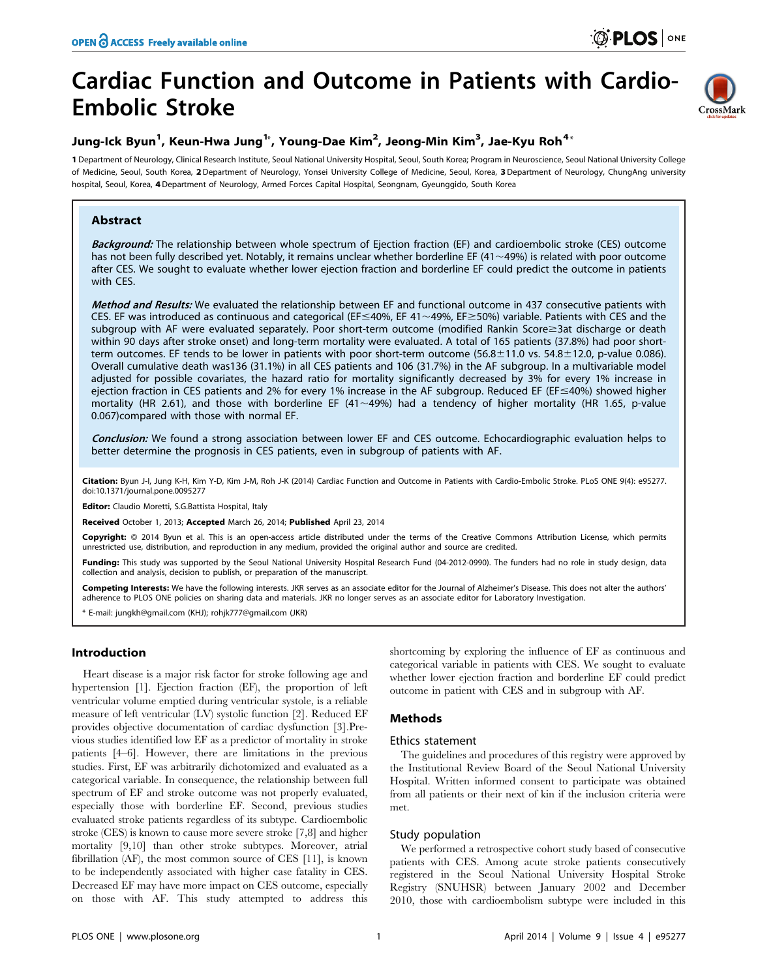# Cardiac Function and Outcome in Patients with Cardio-Embolic Stroke



# Jung-Ick Byun<sup>1</sup>, Keun-Hwa Jung<sup>1</sup>\*, Young-Dae Kim<sup>2</sup>, Jeong-Min Kim<sup>3</sup>, Jae-Kyu Roh<sup>4</sup>\*

1 Department of Neurology, Clinical Research Institute, Seoul National University Hospital, Seoul, South Korea; Program in Neuroscience, Seoul National University College of Medicine, Seoul, South Korea, 2 Department of Neurology, Yonsei University College of Medicine, Seoul, Korea, 3 Department of Neurology, ChungAng university hospital, Seoul, Korea, 4Department of Neurology, Armed Forces Capital Hospital, Seongnam, Gyeunggido, South Korea

# Abstract

Background: The relationship between whole spectrum of Ejection fraction (EF) and cardioembolic stroke (CES) outcome has not been fully described yet. Notably, it remains unclear whether borderline EF (41 $\sim$ 49%) is related with poor outcome after CES. We sought to evaluate whether lower ejection fraction and borderline EF could predict the outcome in patients with CES.

Method and Results: We evaluated the relationship between EF and functional outcome in 437 consecutive patients with CES. EF was introduced as continuous and categorical (EF $\leq$ 40%, EF 41 $\sim$ 49%, EF $\geq$ 50%) variable. Patients with CES and the subgroup with AF were evaluated separately. Poor short-term outcome (modified Rankin Score ast discharge or death within 90 days after stroke onset) and long-term mortality were evaluated. A total of 165 patients (37.8%) had poor shortterm outcomes. EF tends to be lower in patients with poor short-term outcome (56.8 $\pm$ 11.0 vs. 54.8 $\pm$ 12.0, p-value 0.086). Overall cumulative death was136 (31.1%) in all CES patients and 106 (31.7%) in the AF subgroup. In a multivariable model adjusted for possible covariates, the hazard ratio for mortality significantly decreased by 3% for every 1% increase in ejection fraction in CES patients and 2% for every 1% increase in the AF subgroup. Reduced EF (EF \(40%) showed higher mortality (HR 2.61), and those with borderline EF (41 $\sim$ 49%) had a tendency of higher mortality (HR 1.65, p-value 0.067)compared with those with normal EF.

Conclusion: We found a strong association between lower EF and CES outcome. Echocardiographic evaluation helps to better determine the prognosis in CES patients, even in subgroup of patients with AF.

Citation: Byun J-I, Jung K-H, Kim Y-D, Kim J-M, Roh J-K (2014) Cardiac Function and Outcome in Patients with Cardio-Embolic Stroke. PLoS ONE 9(4): e95277. doi:10.1371/journal.pone.0095277

Editor: Claudio Moretti, S.G.Battista Hospital, Italy

Received October 1, 2013; Accepted March 26, 2014; Published April 23, 2014

Copyright: © 2014 Byun et al. This is an open-access article distributed under the terms of the [Creative Commons Attribution License,](http://creativecommons.org/licenses/by/4.0/) which permits unrestricted use, distribution, and reproduction in any medium, provided the original author and source are credited.

Funding: This study was supported by the Seoul National University Hospital Research Fund (04-2012-0990). The funders had no role in study design, data collection and analysis, decision to publish, or preparation of the manuscript.

Competing Interests: We have the following interests. JKR serves as an associate editor for the Journal of Alzheimer's Disease. This does not alter the authors' adherence to PLOS ONE policies on sharing data and materials. JKR no longer serves as an associate editor for Laboratory Investigation.

\* E-mail: jungkh@gmail.com (KHJ); rohjk777@gmail.com (JKR)

# Introduction

Heart disease is a major risk factor for stroke following age and hypertension [1]. Ejection fraction (EF), the proportion of left ventricular volume emptied during ventricular systole, is a reliable measure of left ventricular (LV) systolic function [2]. Reduced EF provides objective documentation of cardiac dysfunction [3].Previous studies identified low EF as a predictor of mortality in stroke patients [4–6]. However, there are limitations in the previous studies. First, EF was arbitrarily dichotomized and evaluated as a categorical variable. In consequence, the relationship between full spectrum of EF and stroke outcome was not properly evaluated, especially those with borderline EF. Second, previous studies evaluated stroke patients regardless of its subtype. Cardioembolic stroke (CES) is known to cause more severe stroke [7,8] and higher mortality [9,10] than other stroke subtypes. Moreover, atrial fibrillation (AF), the most common source of CES [11], is known to be independently associated with higher case fatality in CES. Decreased EF may have more impact on CES outcome, especially on those with AF. This study attempted to address this shortcoming by exploring the influence of EF as continuous and categorical variable in patients with CES. We sought to evaluate whether lower ejection fraction and borderline EF could predict outcome in patient with CES and in subgroup with AF.

# Methods

# Ethics statement

The guidelines and procedures of this registry were approved by the Institutional Review Board of the Seoul National University Hospital. Written informed consent to participate was obtained from all patients or their next of kin if the inclusion criteria were met.

# Study population

We performed a retrospective cohort study based of consecutive patients with CES. Among acute stroke patients consecutively registered in the Seoul National University Hospital Stroke Registry (SNUHSR) between January 2002 and December 2010, those with cardioembolism subtype were included in this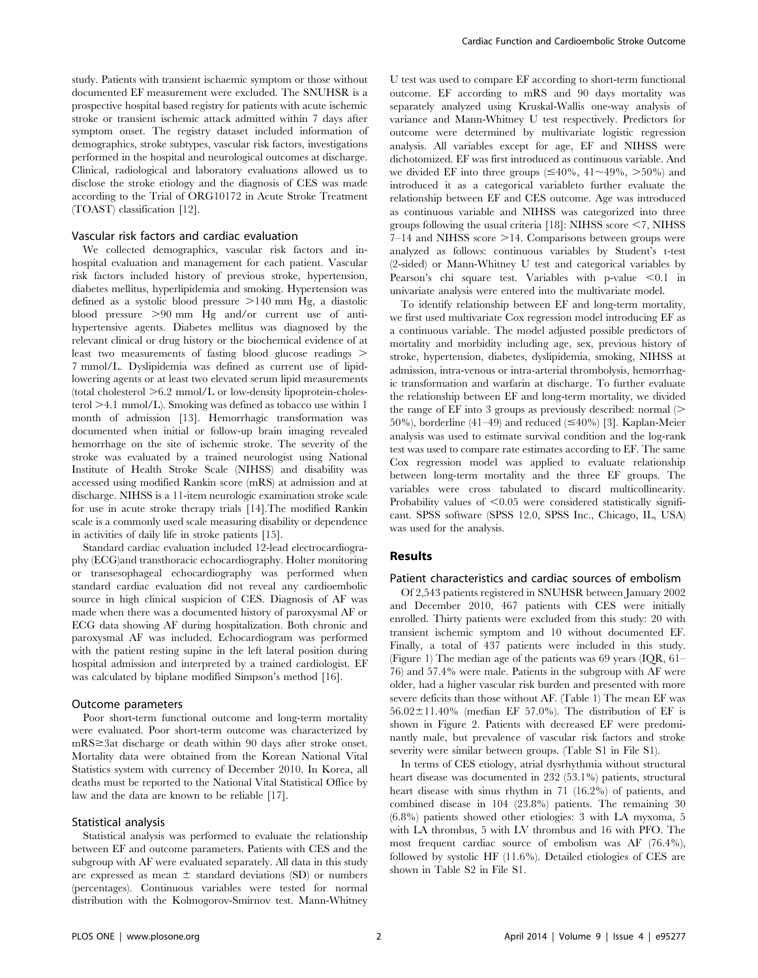study. Patients with transient ischaemic symptom or those without documented EF measurement were excluded. The SNUHSR is a prospective hospital based registry for patients with acute ischemic stroke or transient ischemic attack admitted within 7 days after symptom onset. The registry dataset included information of demographics, stroke subtypes, vascular risk factors, investigations performed in the hospital and neurological outcomes at discharge. Clinical, radiological and laboratory evaluations allowed us to disclose the stroke etiology and the diagnosis of CES was made according to the Trial of ORG10172 in Acute Stroke Treatment (TOAST) classification [12].

# Vascular risk factors and cardiac evaluation

We collected demographics, vascular risk factors and inhospital evaluation and management for each patient. Vascular risk factors included history of previous stroke, hypertension, diabetes mellitus, hyperlipidemia and smoking. Hypertension was defined as a systolic blood pressure  $>140$  mm Hg, a diastolic blood pressure  $>90$  mm Hg and/or current use of antihypertensive agents. Diabetes mellitus was diagnosed by the relevant clinical or drug history or the biochemical evidence of at least two measurements of fasting blood glucose readings  $>$ 7 mmol/L. Dyslipidemia was defined as current use of lipidlowering agents or at least two elevated serum lipid measurements (total cholesterol  $>6.2$  mmol/L or low-density lipoprotein-cholesterol  $\geq\!4.1$  mmol/L). Smoking was defined as tobacco use within  $1$ month of admission [13]. Hemorrhagic transformation was documented when initial or follow-up brain imaging revealed hemorrhage on the site of ischemic stroke. The severity of the stroke was evaluated by a trained neurologist using National Institute of Health Stroke Scale (NIHSS) and disability was accessed using modified Rankin score (mRS) at admission and at discharge. NIHSS is a 11-item neurologic examination stroke scale for use in acute stroke therapy trials [14].The modified Rankin scale is a commonly used scale measuring disability or dependence in activities of daily life in stroke patients [15].

Standard cardiac evaluation included 12-lead electrocardiography (ECG)and transthoracic echocardiography. Holter monitoring or transesophageal echocardiography was performed when standard cardiac evaluation did not reveal any cardioembolic source in high clinical suspicion of CES. Diagnosis of AF was made when there was a documented history of paroxysmal AF or ECG data showing AF during hospitalization. Both chronic and paroxysmal AF was included. Echocardiogram was performed with the patient resting supine in the left lateral position during hospital admission and interpreted by a trained cardiologist. EF was calculated by biplane modified Simpson's method [16].

#### Outcome parameters

Poor short-term functional outcome and long-term mortality were evaluated. Poor short-term outcome was characterized by  $mRS \geq 3$ at discharge or death within 90 days after stroke onset. Mortality data were obtained from the Korean National Vital Statistics system with currency of December 2010. In Korea, all deaths must be reported to the National Vital Statistical Office by law and the data are known to be reliable [17].

#### Statistical analysis

Statistical analysis was performed to evaluate the relationship between EF and outcome parameters. Patients with CES and the subgroup with AF were evaluated separately. All data in this study are expressed as mean  $\pm$  standard deviations (SD) or numbers (percentages). Continuous variables were tested for normal distribution with the Kolmogorov-Smirnov test. Mann-Whitney

U test was used to compare EF according to short-term functional outcome. EF according to mRS and 90 days mortality was separately analyzed using Kruskal-Wallis one-way analysis of variance and Mann-Whitney U test respectively. Predictors for outcome were determined by multivariate logistic regression analysis. All variables except for age, EF and NIHSS were dichotomized. EF was first introduced as continuous variable. And we divided EF into three groups  $(\leq 40\%$ ,  $41 \sim 49\%$ ,  $> 50\%$  and introduced it as a categorical variableto further evaluate the relationship between EF and CES outcome. Age was introduced as continuous variable and NIHSS was categorized into three groups following the usual criteria  $[18]$ : NIHSS score  $\leq$ 7, NIHSS  $7-14$  and NIHSS score  $>14$ . Comparisons between groups were analyzed as follows: continuous variables by Student's t-test (2-sided) or Mann-Whitney U test and categorical variables by Pearson's chi square test. Variables with p-value  $\leq 0.1$  in univariate analysis were entered into the multivariate model.

To identify relationship between EF and long-term mortality, we first used multivariate Cox regression model introducing EF as a continuous variable. The model adjusted possible predictors of mortality and morbidity including age, sex, previous history of stroke, hypertension, diabetes, dyslipidemia, smoking, NIHSS at admission, intra-venous or intra-arterial thrombolysis, hemorrhagic transformation and warfarin at discharge. To further evaluate the relationship between EF and long-term mortality, we divided the range of EF into 3 groups as previously described: normal  $($ 50%), borderline (41–49) and reduced  $(\leq 40\%)$  [3]. Kaplan-Meier analysis was used to estimate survival condition and the log-rank test was used to compare rate estimates according to EF. The same Cox regression model was applied to evaluate relationship between long-term mortality and the three EF groups. The variables were cross tabulated to discard multicollinearity. Probability values of  $\leq 0.05$  were considered statistically significant. SPSS software (SPSS 12.0, SPSS Inc., Chicago, IL, USA) was used for the analysis.

#### Results

# Patient characteristics and cardiac sources of embolism

Of 2,543 patients registered in SNUHSR between January 2002 and December 2010, 467 patients with CES were initially enrolled. Thirty patients were excluded from this study: 20 with transient ischemic symptom and 10 without documented EF. Finally, a total of 437 patients were included in this study. (Figure 1) The median age of the patients was 69 years (IQR, 61– 76) and 57.4% were male. Patients in the subgroup with AF were older, had a higher vascular risk burden and presented with more severe deficits than those without AF. (Table 1) The mean EF was  $56.02 \pm 11.40\%$  (median EF 57.0%). The distribution of EF is shown in Figure 2. Patients with decreased EF were predominantly male, but prevalence of vascular risk factors and stroke severity were similar between groups. (Table S1 in File S1).

In terms of CES etiology, atrial dysrhythmia without structural heart disease was documented in 232 (53.1%) patients, structural heart disease with sinus rhythm in 71 (16.2%) of patients, and combined disease in 104 (23.8%) patients. The remaining 30 (6.8%) patients showed other etiologies: 3 with LA myxoma, 5 with LA thrombus, 5 with LV thrombus and 16 with PFO. The most frequent cardiac source of embolism was AF (76.4%), followed by systolic HF (11.6%). Detailed etiologies of CES are shown in Table S2 in File S1.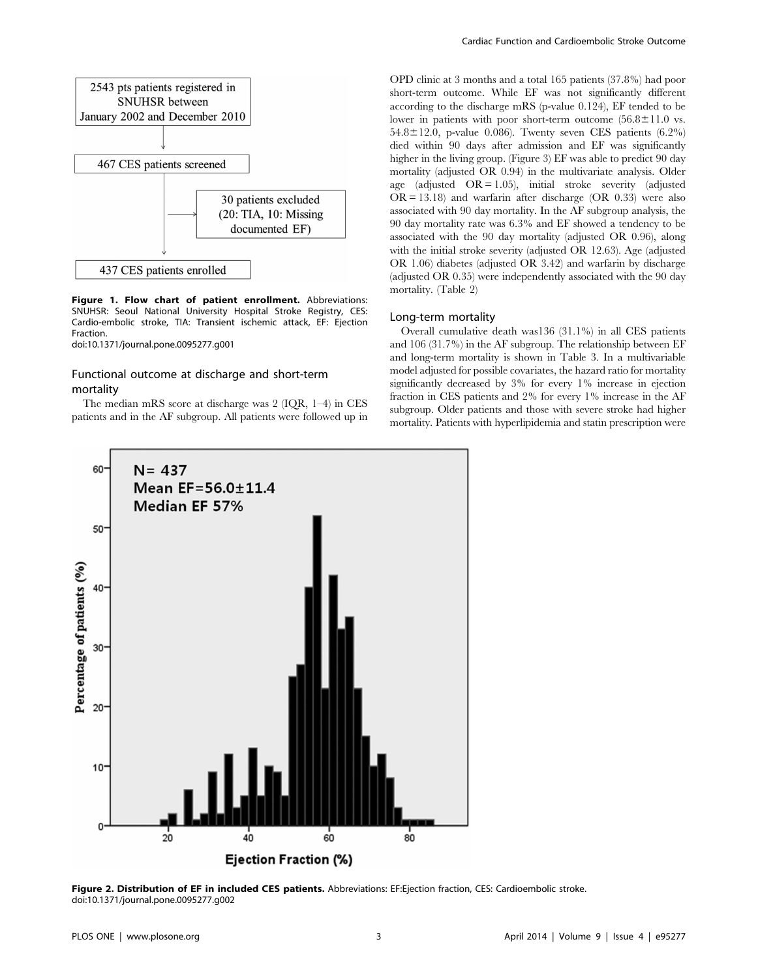

Figure 1. Flow chart of patient enrollment. Abbreviations: SNUHSR: Seoul National University Hospital Stroke Registry, CES: Cardio-embolic stroke, TIA: Transient ischemic attack, EF: Ejection Fraction.

doi:10.1371/journal.pone.0095277.g001

# Functional outcome at discharge and short-term mortality

The median mRS score at discharge was 2 (IQR, 1–4) in CES patients and in the AF subgroup. All patients were followed up in OPD clinic at 3 months and a total 165 patients (37.8%) had poor short-term outcome. While EF was not significantly different according to the discharge mRS (p-value 0.124), EF tended to be lower in patients with poor short-term outcome  $(56.8 \pm 11.0 \text{ vs.})$  $54.8 \pm 12.0$ , p-value 0.086). Twenty seven CES patients (6.2%) died within 90 days after admission and EF was significantly higher in the living group. (Figure 3) EF was able to predict 90 day mortality (adjusted OR 0.94) in the multivariate analysis. Older age (adjusted  $OR = 1.05$ ), initial stroke severity (adjusted  $OR = 13.18$  and warfarin after discharge  $(OR \ 0.33)$  were also associated with 90 day mortality. In the AF subgroup analysis, the 90 day mortality rate was 6.3% and EF showed a tendency to be associated with the 90 day mortality (adjusted OR 0.96), along with the initial stroke severity (adjusted OR 12.63). Age (adjusted OR 1.06) diabetes (adjusted OR 3.42) and warfarin by discharge (adjusted OR 0.35) were independently associated with the 90 day mortality. (Table 2)

# Long-term mortality

Overall cumulative death was136 (31.1%) in all CES patients and 106 (31.7%) in the AF subgroup. The relationship between EF and long-term mortality is shown in Table 3. In a multivariable model adjusted for possible covariates, the hazard ratio for mortality significantly decreased by 3% for every 1% increase in ejection fraction in CES patients and 2% for every 1% increase in the AF subgroup. Older patients and those with severe stroke had higher mortality. Patients with hyperlipidemia and statin prescription were



Figure 2. Distribution of EF in included CES patients. Abbreviations: EF:Ejection fraction, CES: Cardioembolic stroke. doi:10.1371/journal.pone.0095277.g002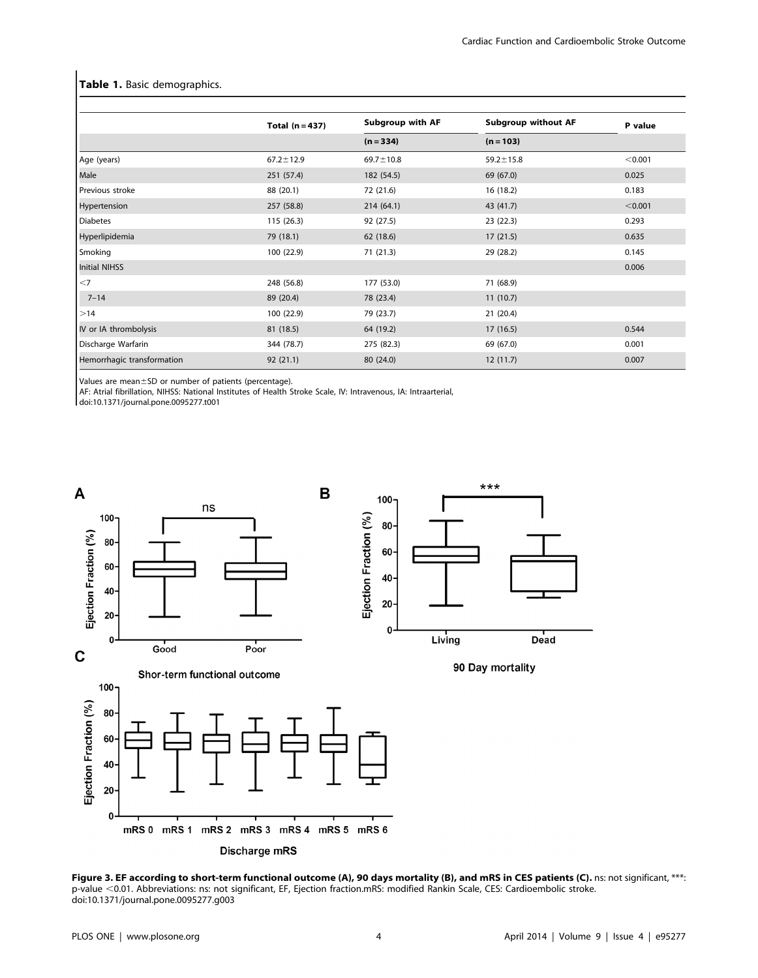## Table 1. Basic demographics.

|                            | Total $(n=437)$ | <b>Subgroup with AF</b> | <b>Subgroup without AF</b> | P value |
|----------------------------|-----------------|-------------------------|----------------------------|---------|
|                            |                 | $(n = 334)$             | $(n = 103)$                |         |
| Age (years)                | $67.2 \pm 12.9$ | $69.7 \pm 10.8$         | $59.2 \pm 15.8$            | < 0.001 |
| Male                       | 251 (57.4)      | 182 (54.5)              | 69 (67.0)                  | 0.025   |
| Previous stroke            | 88 (20.1)       | 72 (21.6)               | 16 (18.2)                  | 0.183   |
| Hypertension               | 257 (58.8)      | 214 (64.1)              | 43 (41.7)                  | < 0.001 |
| <b>Diabetes</b>            | 115 (26.3)      | 92 (27.5)               | 23(22.3)                   | 0.293   |
| Hyperlipidemia             | 79 (18.1)       | 62 (18.6)               | 17(21.5)                   | 0.635   |
| Smoking                    | 100 (22.9)      | 71 (21.3)               | 29 (28.2)                  | 0.145   |
| Initial NIHSS              |                 |                         |                            | 0.006   |
| $<$ 7                      | 248 (56.8)      | 177 (53.0)              | 71 (68.9)                  |         |
| $7 - 14$                   | 89 (20.4)       | 78 (23.4)               | 11(10.7)                   |         |
| $\geq 14$                  | 100 (22.9)      | 79 (23.7)               | 21(20.4)                   |         |
| IV or IA thrombolysis      | 81 (18.5)       | 64 (19.2)               | 17(16.5)                   | 0.544   |
| Discharge Warfarin         | 344 (78.7)      | 275 (82.3)              | 69 (67.0)                  | 0.001   |
| Hemorrhagic transformation | 92(21.1)        | 80 (24.0)               | 12(11.7)                   | 0.007   |

Values are mean $\pm$ SD or number of patients (percentage).

AF: Atrial fibrillation, NIHSS: National Institutes of Health Stroke Scale, IV: Intravenous, IA: Intraarterial,

doi:10.1371/journal.pone.0095277.t001



Figure 3. EF according to short-term functional outcome (A), 90 days mortality (B), and mRS in CES patients (C). ns: not significant, \*\*\*. p-value <0.01. Abbreviations: ns: not significant, EF, Ejection fraction.mRS: modified Rankin Scale, CES: Cardioembolic stroke. doi:10.1371/journal.pone.0095277.g003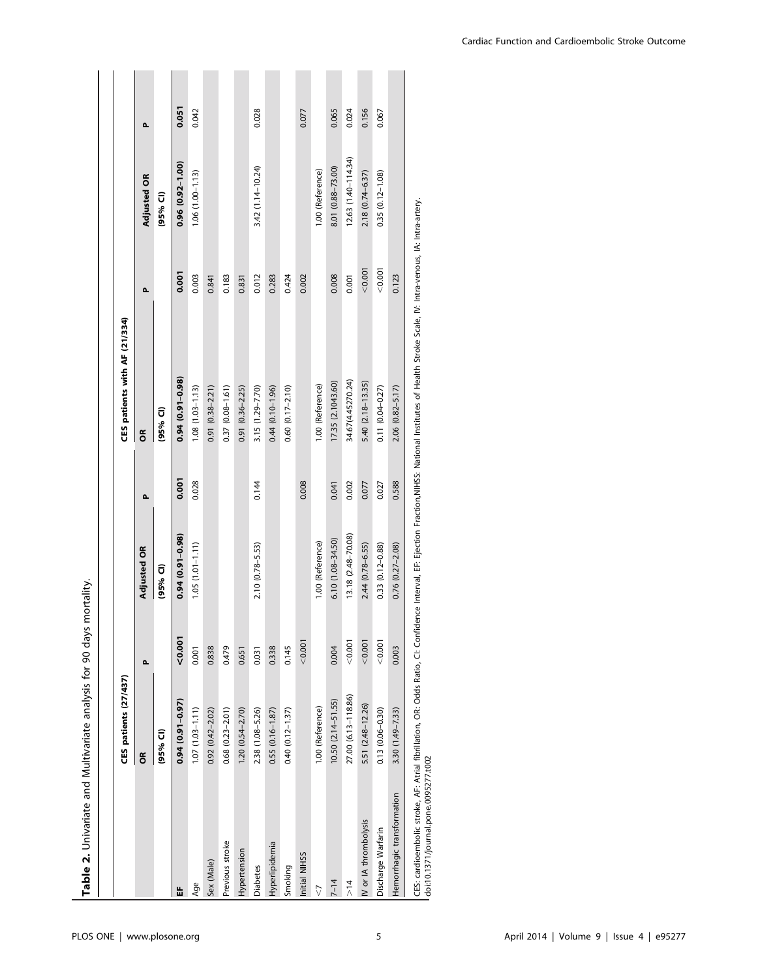| Table 2. Univariate and Multivariate analysis for 90 days |                        |         | mortality.             |        |                                                                                                                                                                                                           |         |                        |       |
|-----------------------------------------------------------|------------------------|---------|------------------------|--------|-----------------------------------------------------------------------------------------------------------------------------------------------------------------------------------------------------------|---------|------------------------|-------|
|                                                           |                        |         |                        |        |                                                                                                                                                                                                           |         |                        |       |
|                                                           | CES patients (27/437)  |         |                        |        | CES patients with AF (21/334)                                                                                                                                                                             |         |                        |       |
|                                                           | õ                      | Δ.      | <b>Adjusted OR</b>     | $\sim$ | ã                                                                                                                                                                                                         | Δ.      | <b>Adjusted OR</b>     | Δ.    |
|                                                           | (95% CI)               |         | (95% CI)               |        | (95% CI)                                                                                                                                                                                                  |         | (95% CI)               |       |
| 쑵                                                         | $0.94(0.91 - 0.97)$    | 0.001   | $0.94(0.91 - 0.98)$    | 0.001  | $0.94(0.91 - 0.98)$                                                                                                                                                                                       | 0.001   | $0.96(0.92 - 1.00)$    | 0.051 |
| Age                                                       | $1.07(1.03 - 1.11)$    | 0.001   | $1.05(1.01 - 1.11)$    | 0.028  | $1.08(1.03 - 1.13)$                                                                                                                                                                                       | 0.003   | $1.06(1.00 - 1.13)$    | 0.042 |
| Sex (Male)                                                | $0.92(0.42 - 2.02)$    | 0.838   |                        |        | $0.91(0.38 - 2.21)$                                                                                                                                                                                       | 0.841   |                        |       |
| Previous stroke                                           | $0.68$ $(0.23 - 2.01)$ | 0.479   |                        |        | $0.37(0.08 - 1.61)$                                                                                                                                                                                       | 0.183   |                        |       |
| Hypertension                                              | $1.20(0.54 - 2.70)$    | 0.651   |                        |        | $0.91(0.36 - 2.25)$                                                                                                                                                                                       | 0.831   |                        |       |
| <b>Diabetes</b>                                           | 2.38 (1.08-5.26)       | 0.031   | $2.10(0.78 - 5.53)$    | 0.144  | 3.15 (1.29-7.70)                                                                                                                                                                                          | 0.012   | $3.42(1.14 - 10.24)$   | 0.028 |
| Hyperlipidemia                                            | $0.55(0.16 - 1.87)$    | 0.338   |                        |        | $0.44(0.10 - 1.96)$                                                                                                                                                                                       | 0.283   |                        |       |
| Smoking                                                   | $0.40(0.12 - 1.37)$    | 0.145   |                        |        | $0.60(0.17 - 2.10)$                                                                                                                                                                                       | 0.424   |                        |       |
| Initial NIHSS                                             |                        | < 0.001 |                        | 0.008  |                                                                                                                                                                                                           | 0.002   |                        | 0.077 |
| $\sqrt{2}$                                                | 1.00 (Reference)       |         | 1.00 (Reference)       |        | 1.00 (Reference)                                                                                                                                                                                          |         | 1.00 (Reference)       |       |
| $7 - 14$                                                  | 10.50 (2.14-51.55)     | 0.004   | $6.10(1.08 - 34.50)$   | 0.041  | 17.35 (2.1043.60)                                                                                                                                                                                         | 0.008   | 8.01 (0.88-73.00)      | 0.065 |
| $\frac{1}{4}$                                             | 27.00 (6.13-118.86)    | < 0.001 | 13.18 (2.48-70.08)     | 0.002  | 34.67(4.45270.24)                                                                                                                                                                                         | 0.001   | $12.63(1.40 - 114.34)$ | 0.024 |
| IV or IA thrombolysis                                     | 5.51 (2.48-12.26)      | < 0.001 | $2.44(0.78 - 6.55)$    | 0.077  | 5.40 (2.18-13.35)                                                                                                                                                                                         | < 0.001 | 2.18 (0.74-6.37)       | 0.156 |
| Discharge Warfarin                                        | $0.13(0.06 - 0.30)$    | < 0.001 | 0.33 (0.12-0.88)       | 0.027  | $0.11 (0.04 - 0.27)$                                                                                                                                                                                      | < 0.001 | $0.35(0.12 - 1.08)$    | 0.067 |
| Hemorrhagic transformation                                | $3.30(1.49 - 7.33)$    | 0.003   | $0.76$ $(0.27 - 2.08)$ | 0.588  | 2.06 (0.82-5.17)                                                                                                                                                                                          | 0.123   |                        |       |
|                                                           |                        |         |                        |        | CES: cardioembolic stroke, AF: Atrial fibrillation, OR: Odds Ratio, CI: Confidence Interval, EF: Ejection Fraction,NIHSS: National Institutes of Health Stroke Scale, IV: Intra-venous, IA: Intra-artery. |         |                        |       |

doi:10.1371/journal.pone.0095277.t002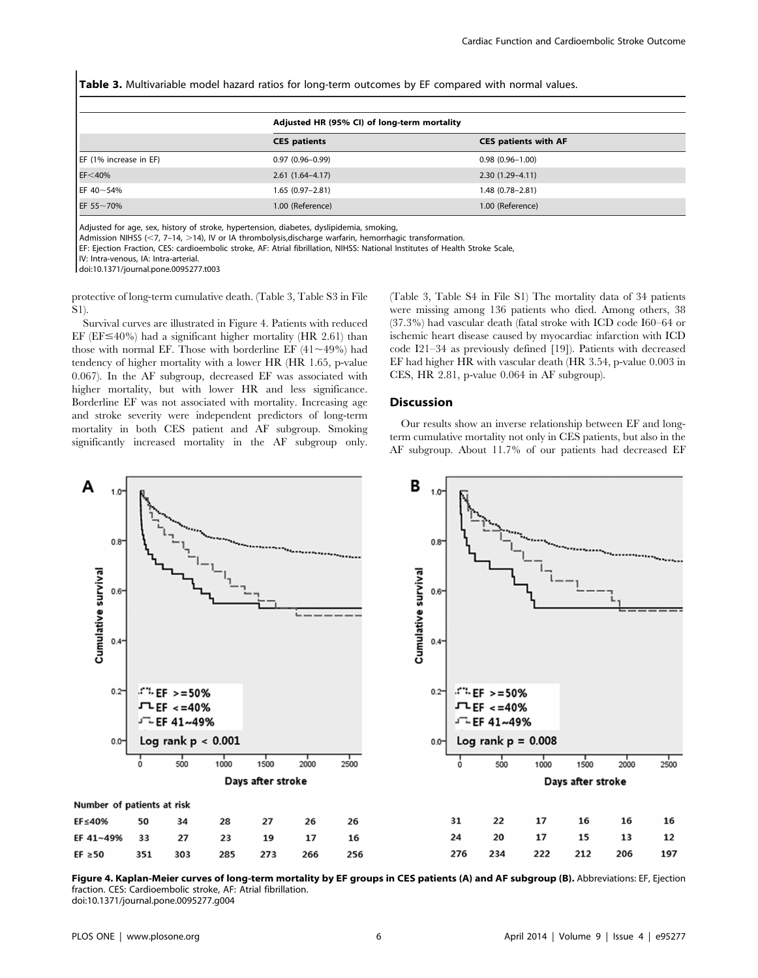Table 3. Multivariable model hazard ratios for long-term outcomes by EF compared with normal values.

|                        | Adjusted HR (95% CI) of long-term mortality |                             |
|------------------------|---------------------------------------------|-----------------------------|
|                        | <b>CES</b> patients                         | <b>CES patients with AF</b> |
| EF (1% increase in EF) | $0.97(0.96 - 0.99)$                         | $0.98(0.96 - 1.00)$         |
| $EF<$ 40%              | $2.61(1.64-4.17)$                           | $2.30(1.29 - 4.11)$         |
| EF 40~54%              | $1.65(0.97-2.81)$                           | $1.48(0.78 - 2.81)$         |
| EF 55~70%              | 1.00 (Reference)                            | 1.00 (Reference)            |

Adjusted for age, sex, history of stroke, hypertension, diabetes, dyslipidemia, smoking,

Admission NIHSS (<7, 7-14, >14), IV or IA thrombolysis,discharge warfarin, hemorrhagic transformation.

EF: Ejection Fraction, CES: cardioembolic stroke, AF: Atrial fibrillation, NIHSS: National Institutes of Health Stroke Scale,

IV: Intra-venous, IA: Intra-arterial.

doi:10.1371/journal.pone.0095277.t003

protective of long-term cumulative death. (Table 3, Table S3 in File S1).

Survival curves are illustrated in Figure 4. Patients with reduced EF ( $EF \leq 40\%$ ) had a significant higher mortality ( $HR$  2.61) than those with normal EF. Those with borderline EF  $(41 \sim 49\%)$  had tendency of higher mortality with a lower HR (HR 1.65, p-value 0.067). In the AF subgroup, decreased EF was associated with higher mortality, but with lower HR and less significance. Borderline EF was not associated with mortality. Increasing age and stroke severity were independent predictors of long-term mortality in both CES patient and AF subgroup. Smoking significantly increased mortality in the AF subgroup only.

(Table 3, Table S4 in File S1) The mortality data of 34 patients were missing among 136 patients who died. Among others, 38 (37.3%) had vascular death (fatal stroke with ICD code I60–64 or ischemic heart disease caused by myocardiac infarction with ICD code I21–34 as previously defined [19]). Patients with decreased EF had higher HR with vascular death (HR 3.54, p-value 0.003 in CES, HR 2.81, p-value 0.064 in AF subgroup).

## Discussion

Our results show an inverse relationship between EF and longterm cumulative mortality not only in CES patients, but also in the AF subgroup. About 11.7% of our patients had decreased EF



Figure 4. Kaplan-Meier curves of long-term mortality by EF groups in CES patients (A) and AF subgroup (B). Abbreviations: EF, Ejection fraction. CES: Cardioembolic stroke, AF: Atrial fibrillation.

doi:10.1371/journal.pone.0095277.g004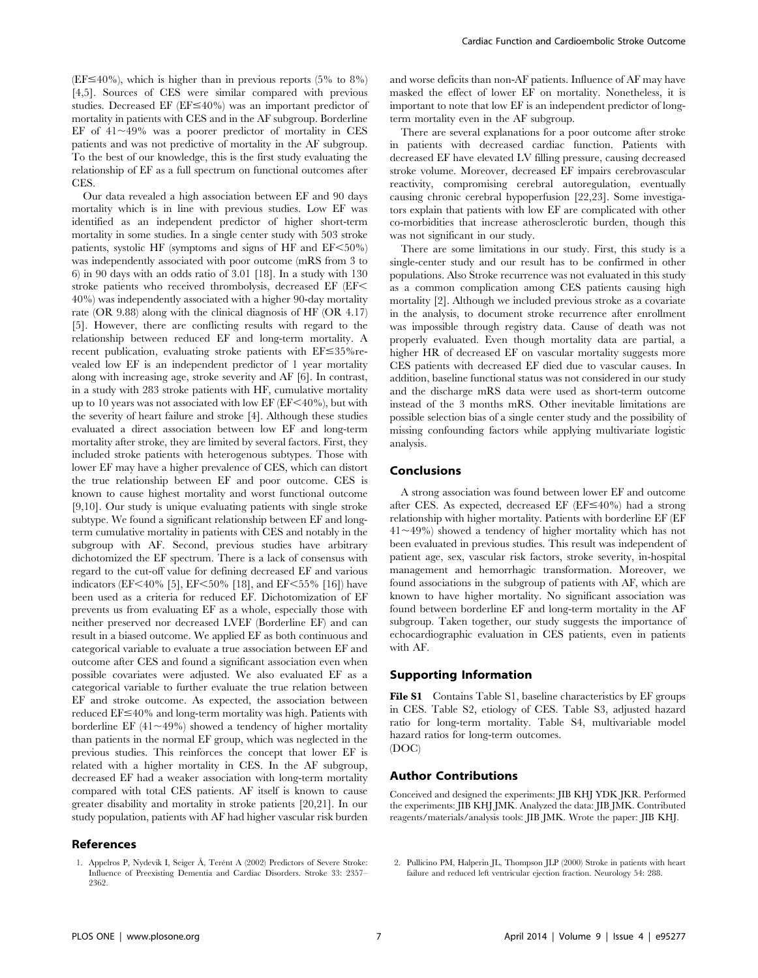$(EF \le 40\%)$ , which is higher than in previous reports (5% to 8%) [4,5]. Sources of CES were similar compared with previous studies. Decreased EF ( $EF \leq 40\%$ ) was an important predictor of mortality in patients with CES and in the AF subgroup. Borderline EF of  $41 \sim 49\%$  was a poorer predictor of mortality in CES patients and was not predictive of mortality in the AF subgroup. To the best of our knowledge, this is the first study evaluating the relationship of EF as a full spectrum on functional outcomes after CES.

Our data revealed a high association between EF and 90 days mortality which is in line with previous studies. Low EF was identified as an independent predictor of higher short-term mortality in some studies. In a single center study with 503 stroke patients, systolic HF (symptoms and signs of HF and  $EF < 50\%$ ) was independently associated with poor outcome (mRS from 3 to 6) in 90 days with an odds ratio of 3.01 [18]. In a study with 130 stroke patients who received thrombolysis, decreased EF (EF $<$ 40%) was independently associated with a higher 90-day mortality rate (OR 9.88) along with the clinical diagnosis of HF (OR 4.17) [5]. However, there are conflicting results with regard to the relationship between reduced EF and long-term mortality. A recent publication, evaluating stroke patients with  $EF \leq 35\%$  revealed low EF is an independent predictor of 1 year mortality along with increasing age, stroke severity and AF [6]. In contrast, in a study with 283 stroke patients with HF, cumulative mortality up to 10 years was not associated with low EF ( $EF < 40\%$ ), but with the severity of heart failure and stroke [4]. Although these studies evaluated a direct association between low EF and long-term mortality after stroke, they are limited by several factors. First, they included stroke patients with heterogenous subtypes. Those with lower EF may have a higher prevalence of CES, which can distort the true relationship between EF and poor outcome. CES is known to cause highest mortality and worst functional outcome [9,10]. Our study is unique evaluating patients with single stroke subtype. We found a significant relationship between EF and longterm cumulative mortality in patients with CES and notably in the subgroup with AF. Second, previous studies have arbitrary dichotomized the EF spectrum. There is a lack of consensus with regard to the cut-off value for defining decreased EF and various indicators (EF<40% [5], EF<50% [18], and EF<55% [16]) have been used as a criteria for reduced EF. Dichotomization of EF prevents us from evaluating EF as a whole, especially those with neither preserved nor decreased LVEF (Borderline EF) and can result in a biased outcome. We applied EF as both continuous and categorical variable to evaluate a true association between EF and outcome after CES and found a significant association even when possible covariates were adjusted. We also evaluated EF as a categorical variable to further evaluate the true relation between EF and stroke outcome. As expected, the association between reduced  $EF \leq 40\%$  and long-term mortality was high. Patients with borderline EF  $(41 \sim 49\%)$  showed a tendency of higher mortality than patients in the normal EF group, which was neglected in the previous studies. This reinforces the concept that lower EF is related with a higher mortality in CES. In the AF subgroup, decreased EF had a weaker association with long-term mortality compared with total CES patients. AF itself is known to cause greater disability and mortality in stroke patients [20,21]. In our study population, patients with AF had higher vascular risk burden

# References

and worse deficits than non-AF patients. Influence of AF may have masked the effect of lower EF on mortality. Nonetheless, it is important to note that low EF is an independent predictor of longterm mortality even in the AF subgroup.

There are several explanations for a poor outcome after stroke in patients with decreased cardiac function. Patients with decreased EF have elevated LV filling pressure, causing decreased stroke volume. Moreover, decreased EF impairs cerebrovascular reactivity, compromising cerebral autoregulation, eventually causing chronic cerebral hypoperfusion [22,23]. Some investigators explain that patients with low EF are complicated with other co-morbidities that increase atherosclerotic burden, though this was not significant in our study.

There are some limitations in our study. First, this study is a single-center study and our result has to be confirmed in other populations. Also Stroke recurrence was not evaluated in this study as a common complication among CES patients causing high mortality [2]. Although we included previous stroke as a covariate in the analysis, to document stroke recurrence after enrollment was impossible through registry data. Cause of death was not properly evaluated. Even though mortality data are partial, a higher HR of decreased EF on vascular mortality suggests more CES patients with decreased EF died due to vascular causes. In addition, baseline functional status was not considered in our study and the discharge mRS data were used as short-term outcome instead of the 3 months mRS. Other inevitable limitations are possible selection bias of a single center study and the possibility of missing confounding factors while applying multivariate logistic analysis.

# Conclusions

A strong association was found between lower EF and outcome after CES. As expected, decreased EF ( $EF \leq 40\%$ ) had a strong relationship with higher mortality. Patients with borderline EF (EF  $41 \sim 49\%$ ) showed a tendency of higher mortality which has not been evaluated in previous studies. This result was independent of patient age, sex, vascular risk factors, stroke severity, in-hospital management and hemorrhagic transformation. Moreover, we found associations in the subgroup of patients with AF, which are known to have higher mortality. No significant association was found between borderline EF and long-term mortality in the AF subgroup. Taken together, our study suggests the importance of echocardiographic evaluation in CES patients, even in patients with AF.

## Supporting Information

File S1 Contains Table S1, baseline characteristics by EF groups in CES. Table S2, etiology of CES. Table S3, adjusted hazard ratio for long-term mortality. Table S4, multivariable model hazard ratios for long-term outcomes. (DOC)

#### Author Contributions

Conceived and designed the experiments: JIB KHJ YDK JKR. Performed the experiments: JIB KHJ JMK. Analyzed the data: JIB JMK. Contributed reagents/materials/analysis tools: JIB JMK. Wrote the paper: JIB KHJ.

<sup>1.</sup> Appelros P, Nydevik I, Seiger Å, Terént A (2002) Predictors of Severe Stroke: Influence of Preexisting Dementia and Cardiac Disorders. Stroke 33: 2357– 2362.

<sup>2.</sup> Pullicino PM, Halperin JL, Thompson JLP (2000) Stroke in patients with heart failure and reduced left ventricular ejection fraction. Neurology 54: 288.